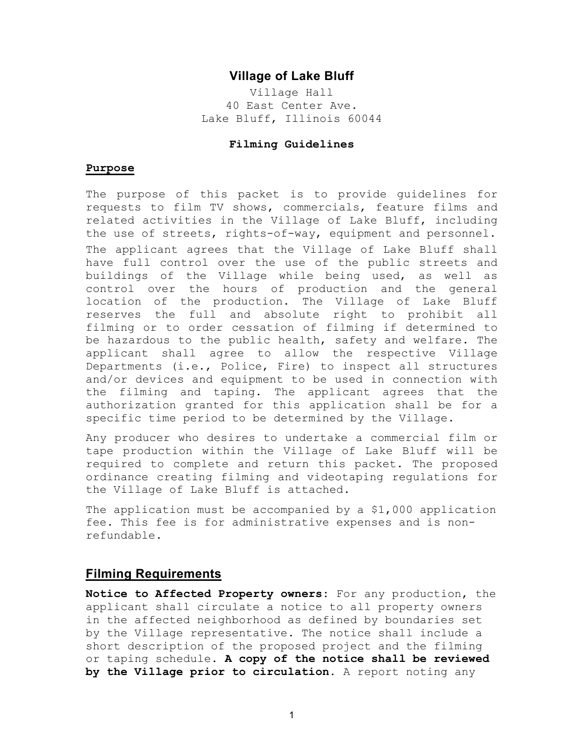# **Village of Lake Bluff**

Village Hall 40 East Center Ave. Lake Bluff, Illinois 60044

### **Filming Guidelines**

#### **Purpose**

The purpose of this packet is to provide guidelines for requests to film TV shows, commercials, feature films and related activities in the Village of Lake Bluff, including the use of streets, rights-of-way, equipment and personnel. The applicant agrees that the Village of Lake Bluff shall have full control over the use of the public streets and buildings of the Village while being used, as well as control over the hours of production and the general location of the production. The Village of Lake Bluff reserves the full and absolute right to prohibit all filming or to order cessation of filming if determined to be hazardous to the public health, safety and welfare. The applicant shall agree to allow the respective Village Departments (i.e., Police, Fire) to inspect all structures and/or devices and equipment to be used in connection with the filming and taping. The applicant agrees that the authorization granted for this application shall be for a specific time period to be determined by the Village.

Any producer who desires to undertake a commercial film or tape production within the Village of Lake Bluff will be required to complete and return this packet. The proposed ordinance creating filming and videotaping regulations for the Village of Lake Bluff is attached.

The application must be accompanied by a \$1,000 application fee. This fee is for administrative expenses and is nonrefundable.

# **Filming Requirements**

**Notice to Affected Property owners:** For any production, the applicant shall circulate a notice to all property owners in the affected neighborhood as defined by boundaries set by the Village representative. The notice shall include a short description of the proposed project and the filming or taping schedule. **A copy of the notice shall be reviewed by the Village prior to circulation.** A report noting any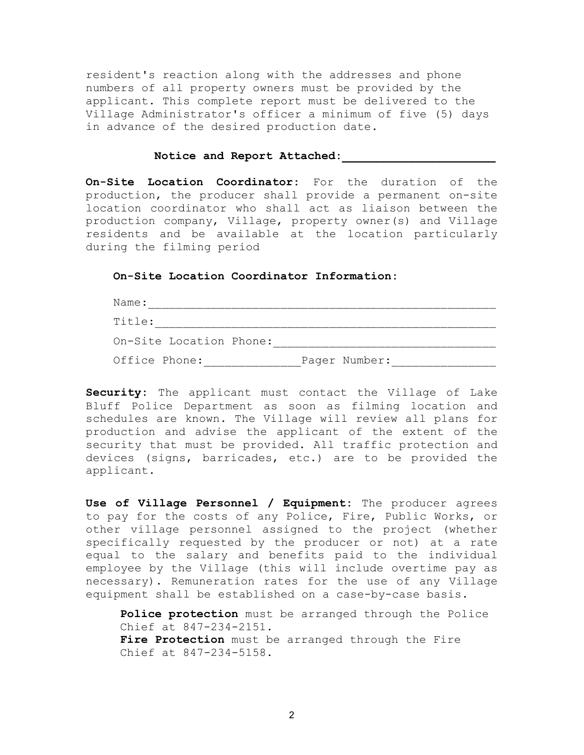resident's reaction along with the addresses and phone numbers of all property owners must be provided by the applicant. This complete report must be delivered to the Village Administrator's officer a minimum of five (5) days in advance of the desired production date.

#### Notice and Report Attached:

**On-Site Location Coordinator:** For the duration of the production, the producer shall provide a permanent on-site location coordinator who shall act as liaison between the production company, Village, property owner(s) and Village residents and be available at the location particularly during the filming period

### **On-Site Location Coordinator Information:**

| Name:                   |               |
|-------------------------|---------------|
| Title:                  |               |
| On-Site Location Phone: |               |
| Office Phone:           | Pager Number: |

**Security:** The applicant must contact the Village of Lake Bluff Police Department as soon as filming location and schedules are known. The Village will review all plans for production and advise the applicant of the extent of the security that must be provided. All traffic protection and devices (signs, barricades, etc.) are to be provided the applicant.

**Use of Village Personnel / Equipment:** The producer agrees to pay for the costs of any Police, Fire, Public Works, or other village personnel assigned to the project (whether specifically requested by the producer or not) at a rate equal to the salary and benefits paid to the individual employee by the Village (this will include overtime pay as necessary). Remuneration rates for the use of any Village equipment shall be established on a case-by-case basis.

**Police protection** must be arranged through the Police Chief at 847-234-2151. **Fire Protection** must be arranged through the Fire Chief at 847-234-5158.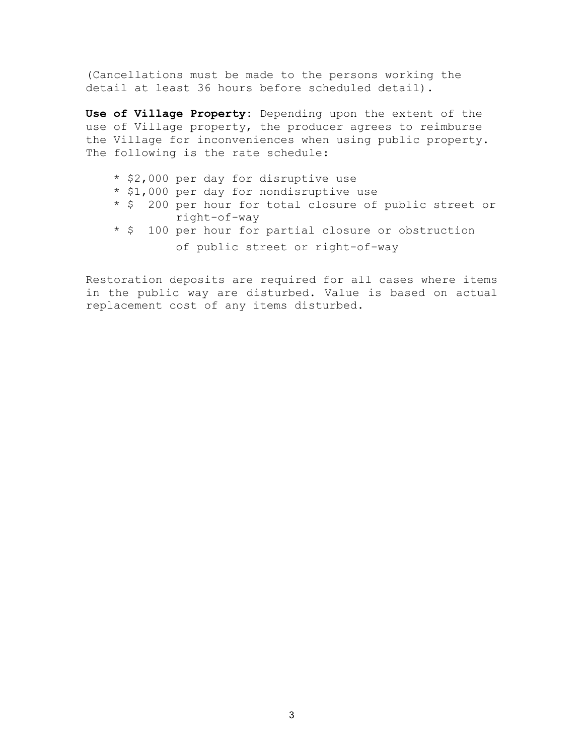(Cancellations must be made to the persons working the detail at least 36 hours before scheduled detail).

**Use of Village Property:** Depending upon the extent of the use of Village property, the producer agrees to reimburse the Village for inconveniences when using public property. The following is the rate schedule:

- \* \$2,000 per day for disruptive use
- \* \$1,000 per day for nondisruptive use
- \* \$ 200 per hour for total closure of public street or right-of-way
- \* \$ 100 per hour for partial closure or obstruction of public street or right-of-way

Restoration deposits are required for all cases where items in the public way are disturbed. Value is based on actual replacement cost of any items disturbed.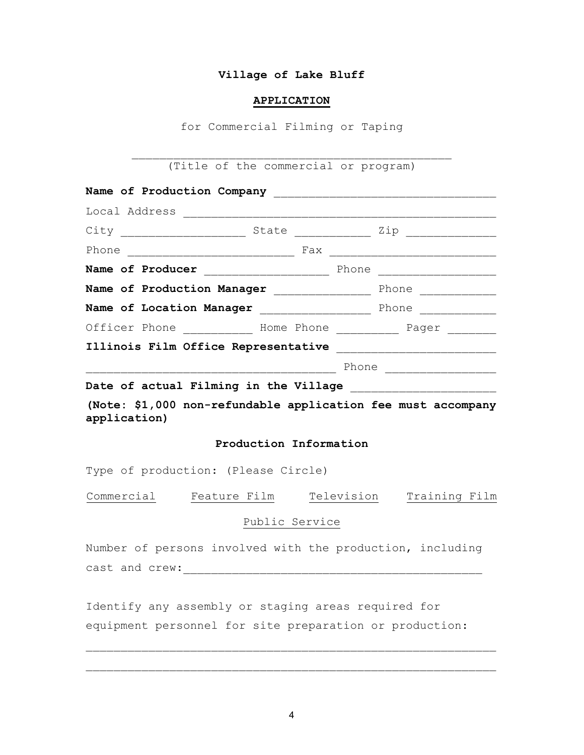## **Village of Lake Bluff**

#### **APPLICATION**

for Commercial Filming or Taping

 $\overline{\phantom{a}}$  , and the contract of the contract of the contract of the contract of the contract of the contract of the contract of the contract of the contract of the contract of the contract of the contract of the contrac (Title of the commercial or program)

| Local Address                                                                                                                                                                                                                 |  |                                |  |  |  |
|-------------------------------------------------------------------------------------------------------------------------------------------------------------------------------------------------------------------------------|--|--------------------------------|--|--|--|
|                                                                                                                                                                                                                               |  | State <u>Communication</u> Zip |  |  |  |
|                                                                                                                                                                                                                               |  |                                |  |  |  |
| Name of Producer                                                                                                                                                                                                              |  |                                |  |  |  |
| Name of Production Manager                                                                                                                                                                                                    |  | Phone<br>———————               |  |  |  |
| Name of Location Manager Manager Manusculphone                                                                                                                                                                                |  |                                |  |  |  |
| Officer Phone Mome Phone _________ Pager _                                                                                                                                                                                    |  |                                |  |  |  |
| Illinois Film Office Representative [100] [11] The Contract Representative                                                                                                                                                    |  |                                |  |  |  |
|                                                                                                                                                                                                                               |  | Phone                          |  |  |  |
| ta de la constitución de la constantin de la constitución de la constitución de la constitución de la constitución de la constitución de la constitución de la constitución de la constitución de la constitución de la const |  |                                |  |  |  |

Date of actual Filming in the Village

**(Note: \$1,000 non-refundable application fee must accompany application)** 

### **Production Information**

Type of production: (Please Circle)

Commercial Feature Film Television Training Film

# Public Service

Number of persons involved with the production, including cast and crew:\_\_\_\_\_\_\_\_\_\_\_\_\_\_\_\_\_\_\_\_\_\_\_\_\_\_\_\_\_\_\_\_\_\_\_\_\_\_\_\_\_\_\_

Identify any assembly or staging areas required for equipment personnel for site preparation or production:

 $\overline{\phantom{a}}$  ,  $\overline{\phantom{a}}$  ,  $\overline{\phantom{a}}$  ,  $\overline{\phantom{a}}$  ,  $\overline{\phantom{a}}$  ,  $\overline{\phantom{a}}$  ,  $\overline{\phantom{a}}$  ,  $\overline{\phantom{a}}$  ,  $\overline{\phantom{a}}$  ,  $\overline{\phantom{a}}$  ,  $\overline{\phantom{a}}$  ,  $\overline{\phantom{a}}$  ,  $\overline{\phantom{a}}$  ,  $\overline{\phantom{a}}$  ,  $\overline{\phantom{a}}$  ,  $\overline{\phantom{a}}$ 

 $\overline{\phantom{a}}$  , and the contribution of the contribution of the contribution of the contribution of the contribution of the contribution of the contribution of the contribution of the contribution of the contribution of the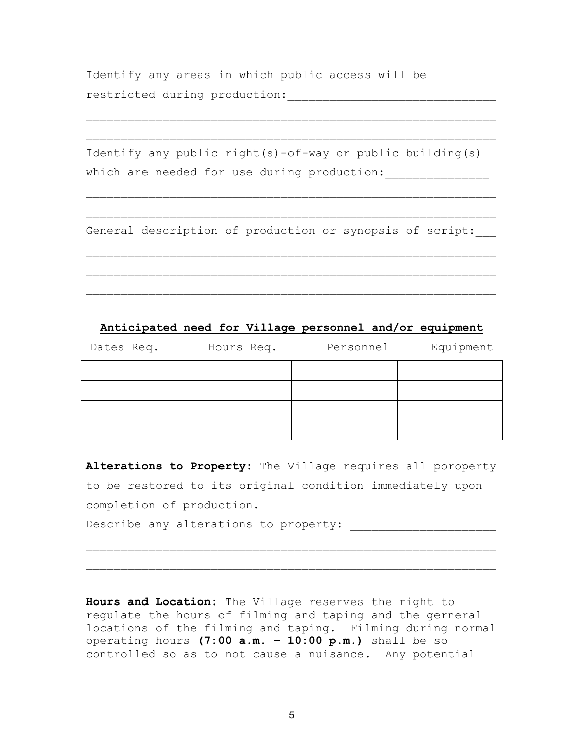Identify any areas in which public access will be restricted during production:\_\_\_\_\_\_\_\_\_\_\_\_\_\_\_\_\_\_\_\_\_\_\_\_\_\_\_\_\_\_

|  |                                             |  |  |  | Identify any public right(s)-of-way or public building(s) |  |
|--|---------------------------------------------|--|--|--|-----------------------------------------------------------|--|
|  | which are needed for use during production: |  |  |  |                                                           |  |

 $\overline{\phantom{a}}$  ,  $\overline{\phantom{a}}$  ,  $\overline{\phantom{a}}$  ,  $\overline{\phantom{a}}$  ,  $\overline{\phantom{a}}$  ,  $\overline{\phantom{a}}$  ,  $\overline{\phantom{a}}$  ,  $\overline{\phantom{a}}$  ,  $\overline{\phantom{a}}$  ,  $\overline{\phantom{a}}$  ,  $\overline{\phantom{a}}$  ,  $\overline{\phantom{a}}$  ,  $\overline{\phantom{a}}$  ,  $\overline{\phantom{a}}$  ,  $\overline{\phantom{a}}$  ,  $\overline{\phantom{a}}$ 

 $\overline{\phantom{a}}$  , and the contribution of the contribution of the contribution of the contribution of the contribution of the contribution of the contribution of the contribution of the contribution of the contribution of the

 $\overline{\phantom{a}}$  ,  $\overline{\phantom{a}}$  ,  $\overline{\phantom{a}}$  ,  $\overline{\phantom{a}}$  ,  $\overline{\phantom{a}}$  ,  $\overline{\phantom{a}}$  ,  $\overline{\phantom{a}}$  ,  $\overline{\phantom{a}}$  ,  $\overline{\phantom{a}}$  ,  $\overline{\phantom{a}}$  ,  $\overline{\phantom{a}}$  ,  $\overline{\phantom{a}}$  ,  $\overline{\phantom{a}}$  ,  $\overline{\phantom{a}}$  ,  $\overline{\phantom{a}}$  ,  $\overline{\phantom{a}}$ 

 $\overline{\phantom{a}}$  ,  $\overline{\phantom{a}}$  ,  $\overline{\phantom{a}}$  ,  $\overline{\phantom{a}}$  ,  $\overline{\phantom{a}}$  ,  $\overline{\phantom{a}}$  ,  $\overline{\phantom{a}}$  ,  $\overline{\phantom{a}}$  ,  $\overline{\phantom{a}}$  ,  $\overline{\phantom{a}}$  ,  $\overline{\phantom{a}}$  ,  $\overline{\phantom{a}}$  ,  $\overline{\phantom{a}}$  ,  $\overline{\phantom{a}}$  ,  $\overline{\phantom{a}}$  ,  $\overline{\phantom{a}}$ 

 $\overline{\phantom{a}}$  , and the contribution of the contribution of the contribution of the contribution of the contribution of the contribution of the contribution of the contribution of the contribution of the contribution of the

 $\overline{\phantom{a}}$  ,  $\overline{\phantom{a}}$  ,  $\overline{\phantom{a}}$  ,  $\overline{\phantom{a}}$  ,  $\overline{\phantom{a}}$  ,  $\overline{\phantom{a}}$  ,  $\overline{\phantom{a}}$  ,  $\overline{\phantom{a}}$  ,  $\overline{\phantom{a}}$  ,  $\overline{\phantom{a}}$  ,  $\overline{\phantom{a}}$  ,  $\overline{\phantom{a}}$  ,  $\overline{\phantom{a}}$  ,  $\overline{\phantom{a}}$  ,  $\overline{\phantom{a}}$  ,  $\overline{\phantom{a}}$ 

General description of production or synopsis of script:

# **Anticipated need for Village personnel and/or equipment**

| Dates Req. | Hours Req. | Personnel | Equipment |
|------------|------------|-----------|-----------|
|            |            |           |           |
|            |            |           |           |
|            |            |           |           |
|            |            |           |           |

**Alterations to Property:** The Village requires all poroperty to be restored to its original condition immediately upon completion of production.

 $\overline{\phantom{a}}$  ,  $\overline{\phantom{a}}$  ,  $\overline{\phantom{a}}$  ,  $\overline{\phantom{a}}$  ,  $\overline{\phantom{a}}$  ,  $\overline{\phantom{a}}$  ,  $\overline{\phantom{a}}$  ,  $\overline{\phantom{a}}$  ,  $\overline{\phantom{a}}$  ,  $\overline{\phantom{a}}$  ,  $\overline{\phantom{a}}$  ,  $\overline{\phantom{a}}$  ,  $\overline{\phantom{a}}$  ,  $\overline{\phantom{a}}$  ,  $\overline{\phantom{a}}$  ,  $\overline{\phantom{a}}$ 

 $\overline{\phantom{a}}$  , and the contribution of the contribution of the contribution of the contribution of the contribution of the contribution of the contribution of the contribution of the contribution of the contribution of the

Describe any alterations to property: \_\_\_\_\_\_\_\_\_\_\_\_\_\_\_\_\_\_\_\_\_

**Hours and Location:** The Village reserves the right to regulate the hours of filming and taping and the gerneral locations of the filming and taping. Filming during normal operating hours **(7:00 a.m. – 10:00 p.m.)** shall be so controlled so as to not cause a nuisance. Any potential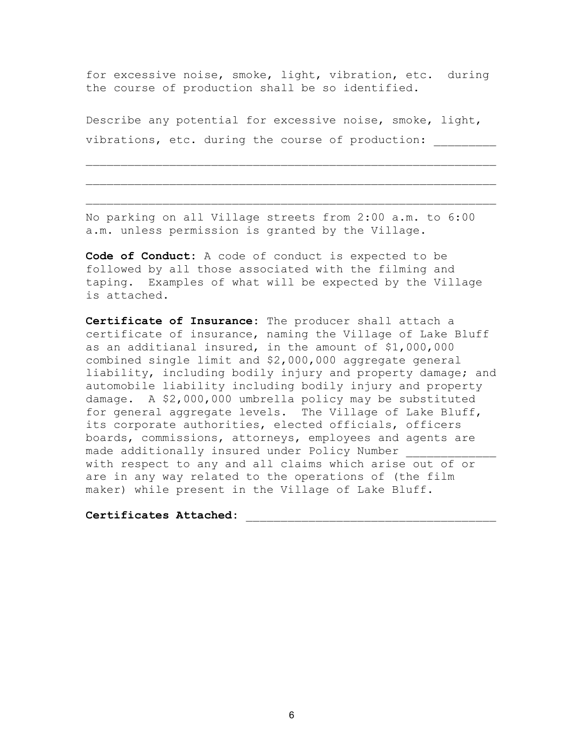for excessive noise, smoke, light, vibration, etc. during the course of production shall be so identified.

Describe any potential for excessive noise, smoke, light, vibrations, etc. during the course of production:

 $\overline{\phantom{a}}$  ,  $\overline{\phantom{a}}$  ,  $\overline{\phantom{a}}$  ,  $\overline{\phantom{a}}$  ,  $\overline{\phantom{a}}$  ,  $\overline{\phantom{a}}$  ,  $\overline{\phantom{a}}$  ,  $\overline{\phantom{a}}$  ,  $\overline{\phantom{a}}$  ,  $\overline{\phantom{a}}$  ,  $\overline{\phantom{a}}$  ,  $\overline{\phantom{a}}$  ,  $\overline{\phantom{a}}$  ,  $\overline{\phantom{a}}$  ,  $\overline{\phantom{a}}$  ,  $\overline{\phantom{a}}$ 

 $\overline{\phantom{a}}$  ,  $\overline{\phantom{a}}$  ,  $\overline{\phantom{a}}$  ,  $\overline{\phantom{a}}$  ,  $\overline{\phantom{a}}$  ,  $\overline{\phantom{a}}$  ,  $\overline{\phantom{a}}$  ,  $\overline{\phantom{a}}$  ,  $\overline{\phantom{a}}$  ,  $\overline{\phantom{a}}$  ,  $\overline{\phantom{a}}$  ,  $\overline{\phantom{a}}$  ,  $\overline{\phantom{a}}$  ,  $\overline{\phantom{a}}$  ,  $\overline{\phantom{a}}$  ,  $\overline{\phantom{a}}$ 

 $\overline{\phantom{a}}$  , and the contribution of the contribution of the contribution of the contribution of the contribution of the contribution of the contribution of the contribution of the contribution of the contribution of the

No parking on all Village streets from 2:00 a.m. to 6:00 a.m. unless permission is granted by the Village.

**Code of Conduct:** A code of conduct is expected to be followed by all those associated with the filming and taping. Examples of what will be expected by the Village is attached.

**Certificate of Insurance:** The producer shall attach a certificate of insurance, naming the Village of Lake Bluff as an additianal insured, in the amount of \$1,000,000 combined single limit and \$2,000,000 aggregate general liability, including bodily injury and property damage; and automobile liability including bodily injury and property damage. A \$2,000,000 umbrella policy may be substituted for general aggregate levels. The Village of Lake Bluff, its corporate authorities, elected officials, officers boards, commissions, attorneys, employees and agents are made additionally insured under Policy Number with respect to any and all claims which arise out of or are in any way related to the operations of (the film maker) while present in the Village of Lake Bluff.

**Certificates Attached:** \_\_\_\_\_\_\_\_\_\_\_\_\_\_\_\_\_\_\_\_\_\_\_\_\_\_\_\_\_\_\_\_\_\_\_\_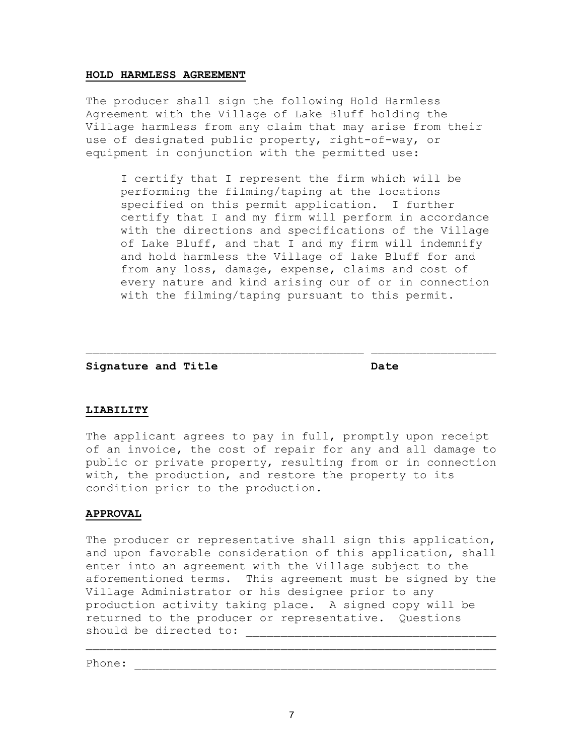#### **HOLD HARMLESS AGREEMENT**

The producer shall sign the following Hold Harmless Agreement with the Village of Lake Bluff holding the Village harmless from any claim that may arise from their use of designated public property, right-of-way, or equipment in conjunction with the permitted use:

 I certify that I represent the firm which will be performing the filming/taping at the locations specified on this permit application. I further certify that I and my firm will perform in accordance with the directions and specifications of the Village of Lake Bluff, and that I and my firm will indemnify and hold harmless the Village of lake Bluff for and from any loss, damage, expense, claims and cost of every nature and kind arising our of or in connection with the filming/taping pursuant to this permit.

Signature and Title **Date** Date

### **LIABILITY**

The applicant agrees to pay in full, promptly upon receipt of an invoice, the cost of repair for any and all damage to public or private property, resulting from or in connection with, the production, and restore the property to its condition prior to the production.

 $\_$  , and the set of the set of the set of the set of the set of the set of the set of the set of the set of the set of the set of the set of the set of the set of the set of the set of the set of the set of the set of th

### **APPROVAL**

The producer or representative shall sign this application, and upon favorable consideration of this application, shall enter into an agreement with the Village subject to the aforementioned terms. This agreement must be signed by the Village Administrator or his designee prior to any production activity taking place. A signed copy will be returned to the producer or representative. Questions should be directed to:

 $\overline{\phantom{a}}$  , and the contribution of the contribution of the contribution of the contribution of the contribution of the contribution of the contribution of the contribution of the contribution of the contribution of the

Phone: \_\_\_\_\_\_\_\_\_\_\_\_\_\_\_\_\_\_\_\_\_\_\_\_\_\_\_\_\_\_\_\_\_\_\_\_\_\_\_\_\_\_\_\_\_\_\_\_\_\_\_\_